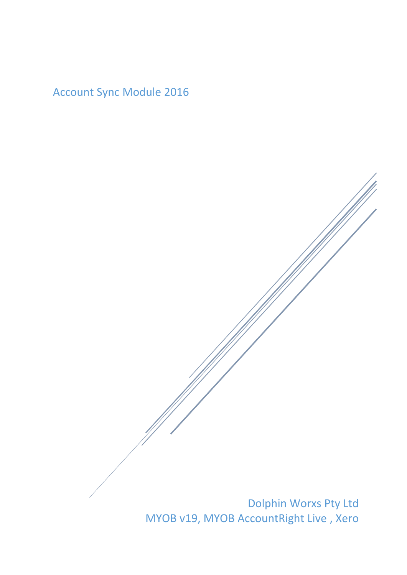Account Sync Module 2016

Dolphin Worxs Pty Ltd MYOB v19, MYOB AccountRight Live , Xero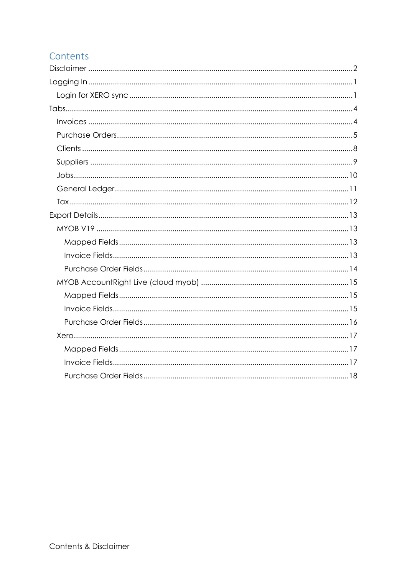# Contents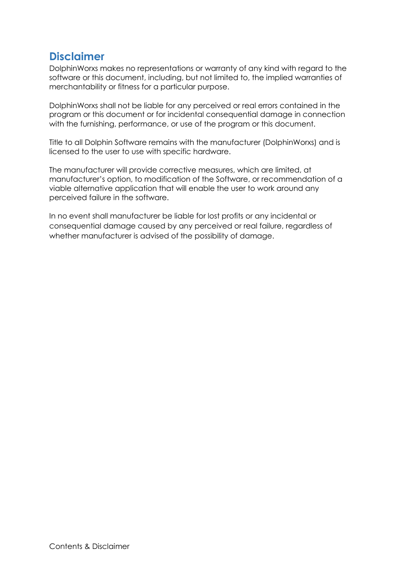# <span id="page-2-0"></span>**Disclaimer**

DolphinWorxs makes no representations or warranty of any kind with regard to the software or this document, including, but not limited to, the implied warranties of merchantability or fitness for a particular purpose.

DolphinWorxs shall not be liable for any perceived or real errors contained in the program or this document or for incidental consequential damage in connection with the furnishing, performance, or use of the program or this document.

Title to all Dolphin Software remains with the manufacturer (DolphinWorxs) and is licensed to the user to use with specific hardware.

The manufacturer will provide corrective measures, which are limited, at manufacturer's option, to modification of the Software, or recommendation of a viable alternative application that will enable the user to work around any perceived failure in the software.

In no event shall manufacturer be liable for lost profits or any incidental or consequential damage caused by any perceived or real failure, regardless of whether manufacturer is advised of the possibility of damage.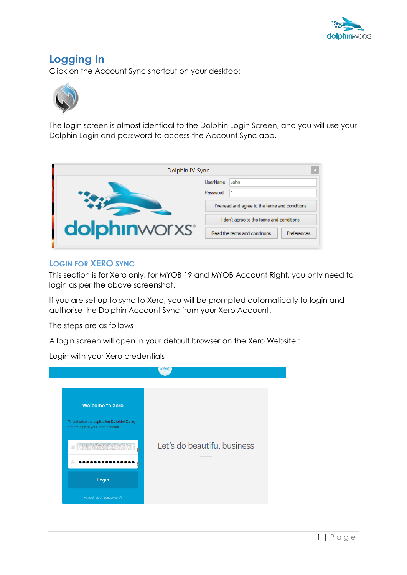

# <span id="page-3-0"></span>**Logging In**

Click on the Account Sync shortcut on your desktop:



The login screen is almost identical to the Dolphin Login Screen, and you will use your Dolphin Login and password to access the Account Sync app.

| Dolphin IV Sync                   |                                                |  |
|-----------------------------------|------------------------------------------------|--|
|                                   | <b>UserName</b><br>John                        |  |
|                                   | Password<br>٠                                  |  |
|                                   | I've read and agree to the tems and conditions |  |
|                                   | don't agree to the terms and conditions        |  |
| <b>dolphin</b> worxs <sup>®</sup> | Read the terms and conditions<br>Preferences   |  |
|                                   |                                                |  |

#### <span id="page-3-1"></span>**LOGIN FOR XERO SYNC**

This section is for Xero only, for MYOB 19 and MYOB Account Right, you only need to login as per the above screenshot.

If you are set up to sync to Xero, you will be prompted automatically to login and authorise the Dolphin Account Sync from your Xero Account.

The steps are as follows

A login screen will open in your default browser on the Xero Website :

Login with your Xero credentials

|                                                                                 | xero                        |
|---------------------------------------------------------------------------------|-----------------------------|
| <b>Welcome to Xero</b>                                                          |                             |
| To authorise the application Dolphin4Xero,<br>simply login to your Xero account |                             |
| $\overline{2}$                                                                  | Let's do beautiful business |
| Login                                                                           |                             |
| Forgot your password?                                                           |                             |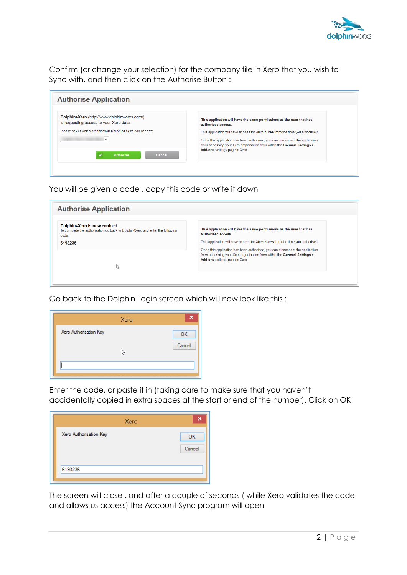

Confirm (or change your selection) for the company file in Xero that you wish to Sync with, and then click on the Authorise Button :

| Dolphin4Xero (http://www.dolphinworxs.com/)<br>is requesting access to your Xero data. | This application will have the same permissions as the user that has<br>authorised access.                                                                                                  |
|----------------------------------------------------------------------------------------|---------------------------------------------------------------------------------------------------------------------------------------------------------------------------------------------|
| Please select which organisation Dolphin4Xero can access:                              | This application will have access for 30 minutes from the time you authorise it.                                                                                                            |
|                                                                                        | Once this application has been authorised, you can disconnect the application<br>from accessing your Xero organisation from within the General Settings ><br>Add-ons settings page in Xero. |
| Authorise<br>Cancel                                                                    |                                                                                                                                                                                             |

You will be given a code , copy this code or write it down

| <b>Authorise Application</b>                                                                                                      |                                                                                                                                                                                             |
|-----------------------------------------------------------------------------------------------------------------------------------|---------------------------------------------------------------------------------------------------------------------------------------------------------------------------------------------|
| Dolphin4Xero is now enabled.<br>To complete the authorisation go back to Dolphin4Xero and enter the following<br>code:<br>6193236 | This application will have the same permissions as the user that has<br>authorised access.<br>This application will have access for 30 minutes from the time you authorise it.              |
| ↳                                                                                                                                 | Once this application has been authorised, you can disconnect the application<br>from accessing your Xero organisation from within the General Settings ><br>Add-ons settings page in Xero. |

Go back to the Dolphin Login screen which will now look like this :

|                        | Xero | ×      |
|------------------------|------|--------|
| Xero Authorisation Key |      | OK     |
|                        | ↳    | Cancel |
|                        |      |        |

Enter the code, or paste it in (taking care to make sure that you haven't accidentally copied in extra spaces at the start or end of the number). Click on OK

|                        | Xero | K            |
|------------------------|------|--------------|
| Xero Authorisation Key |      | OK<br>Cancel |
| 6193236                |      |              |

The screen will close , and after a couple of seconds ( while Xero validates the code and allows us access) the Account Sync program will open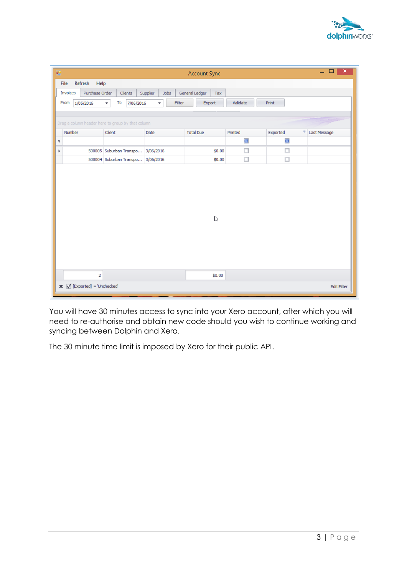

| 疅 |                                                   |                                                                        |                                    | <b>Account Sync</b>   |                  |                  | $\Box$<br>$\boldsymbol{\mathsf{x}}$<br>÷. |
|---|---------------------------------------------------|------------------------------------------------------------------------|------------------------------------|-----------------------|------------------|------------------|-------------------------------------------|
|   | Refresh Help<br>File                              |                                                                        |                                    |                       |                  |                  |                                           |
|   | Purchase Order<br>Invoices                        | Clients                                                                | Jobs<br>Supplier                   | General Ledger<br>Tax |                  |                  |                                           |
|   | From<br>1/05/2016                                 | To<br>7/06/2016<br><b>+</b>                                            | Filter<br>$\overline{\phantom{a}}$ | Export                | Validate         | Print            |                                           |
|   |                                                   |                                                                        |                                    |                       |                  |                  |                                           |
|   | Drag a column header here to group by that column |                                                                        |                                    |                       |                  |                  |                                           |
|   | Number                                            | Client                                                                 | Date                               | <b>Total Due</b>      | Printed          | Exported<br>φ    | Last Message                              |
| Ÿ |                                                   |                                                                        |                                    |                       | $\square$        | $\square$        |                                           |
| r |                                                   | 500005 Suburban Transpo 3/06/2016<br>500004 Suburban Transpo 3/06/2016 |                                    | \$0.00<br>\$0.00      | $\Box$<br>$\Box$ | $\Box$<br>$\Box$ |                                           |
|   |                                                   |                                                                        |                                    |                       |                  |                  |                                           |
|   |                                                   |                                                                        |                                    | $\mathbb{P}$          |                  |                  |                                           |
|   | $\overline{2}$                                    |                                                                        |                                    | \$0.00                |                  |                  |                                           |
|   | $\mathbf x \nabla$ [Exported] = 'Unchecked'       |                                                                        |                                    |                       |                  |                  | <b>Edit Filter</b>                        |

You will have 30 minutes access to sync into your Xero account, after which you will need to re-authorise and obtain new code should you wish to continue working and syncing between Dolphin and Xero.

The 30 minute time limit is imposed by Xero for their public API.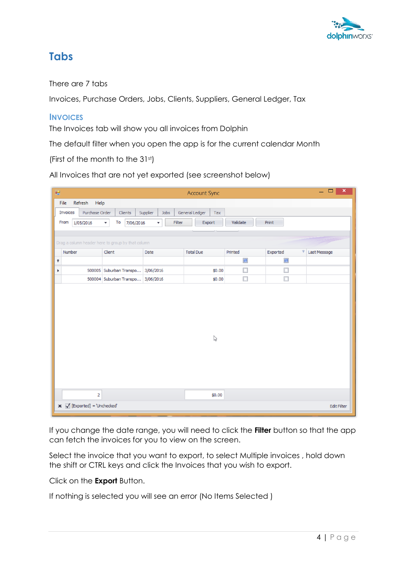

## <span id="page-6-0"></span>**Tabs**

#### There are 7 tabs

Invoices, Purchase Orders, Jobs, Clients, Suppliers, General Ledger, Tax

#### <span id="page-6-1"></span>**INVOICES**

The Invoices tab will show you all invoices from Dolphin

The default filter when you open the app is for the current calendar Month

(First of the month to the 31st)

All Invoices that are not yet exported (see screenshot below)

| 疆                                                     |                                             |                    | <b>Account Sync</b>   |          |               | $\Box$<br>$\pmb{\times}$<br>÷. |  |  |  |  |  |  |
|-------------------------------------------------------|---------------------------------------------|--------------------|-----------------------|----------|---------------|--------------------------------|--|--|--|--|--|--|
| Refresh<br>Help<br>File                               |                                             |                    |                       |          |               |                                |  |  |  |  |  |  |
| Purchase Order<br>Invoices                            | Clients                                     | Supplier<br>Jobs   | General Ledger<br>Tax |          |               |                                |  |  |  |  |  |  |
| From<br>1/05/2016                                     | To<br>7/06/2016<br>$\overline{\phantom{a}}$ | Filter<br><b>+</b> | Export                | Validate | Print         |                                |  |  |  |  |  |  |
|                                                       |                                             |                    |                       |          |               |                                |  |  |  |  |  |  |
| Drag a column header here to group by that column     |                                             |                    |                       |          |               |                                |  |  |  |  |  |  |
| Number                                                | Client                                      | Date               | <b>Total Due</b>      | Printed  | Exported<br>φ | Last Message                   |  |  |  |  |  |  |
| ę                                                     |                                             |                    |                       | $\Box$   | $\Box$        |                                |  |  |  |  |  |  |
| ١                                                     | 500005 Suburban Transpo 3/06/2016           |                    | \$0.00                | о        | $\Box$        |                                |  |  |  |  |  |  |
|                                                       | 500004 Suburban Transpo 3/06/2016           |                    | \$0.00                | $\Box$   | □             |                                |  |  |  |  |  |  |
|                                                       |                                             |                    | $\triangleright$      |          |               |                                |  |  |  |  |  |  |
| $\overline{2}$                                        |                                             |                    | \$0.00                |          |               |                                |  |  |  |  |  |  |
| $\mathbf x \times \mathbf A$ [Exported] = 'Unchecked' |                                             |                    |                       |          |               | <b>Edit Filter</b>             |  |  |  |  |  |  |

If you change the date range, you will need to click the **Filter** button so that the app can fetch the invoices for you to view on the screen.

Select the invoice that you want to export, to select Multiple invoices , hold down the shift or CTRL keys and click the Invoices that you wish to export.

Click on the **Export** Button.

If nothing is selected you will see an error (No Items Selected )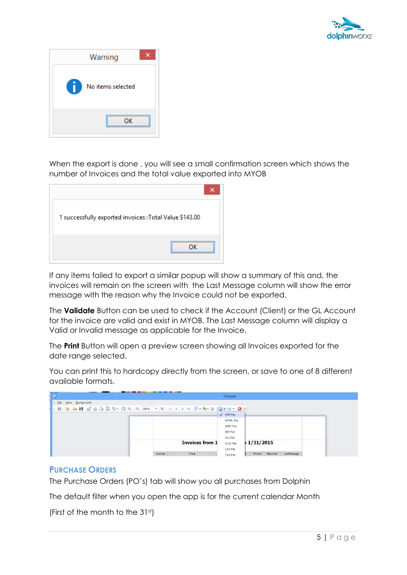



When the export is done , you will see a small confirmation screen which shows the number of Invoices and the total value exported into MYOB

| 1 successfully exported invoices : Total Value \$143.00 |
|---------------------------------------------------------|
|                                                         |

If any items failed to export a similar popup will show a summary of this and, the invoices will remain on the screen with the Last Message column will show the error message with the reason why the Invoice could not be exported.

The **Validate** Button can be used to check if the Account (Client) or the GL Account for the invoice are valid and exist in MYOB. The Last Message column will display a Valid or Invalid message as applicable for the Invoice.

The **Print** Button will open a preview screen showing all Invoices exported for the date range selected.

You can print this to hardcopy directly from the screen, or save to one of 8 different available formats.

| المستقات<br>$\mathbb{Z}$                                                                             |                        | Preview          |                                      |
|------------------------------------------------------------------------------------------------------|------------------------|------------------|--------------------------------------|
| Eile<br>View Background                                                                              |                        |                  |                                      |
| 8   B   B   B   B   B   D   B   Q   Q   100%   Q   K   K   D   N   B   Q   K   Q   B   B   D   B   D |                        |                  |                                      |
|                                                                                                      |                        | $\sqrt{PDFFile}$ |                                      |
|                                                                                                      |                        | <b>HTML File</b> |                                      |
|                                                                                                      |                        | <b>MHT File</b>  |                                      |
|                                                                                                      |                        | <b>RTF File</b>  |                                      |
|                                                                                                      |                        | <b>XLS File</b>  |                                      |
|                                                                                                      | <b>Invoices from 1</b> | <b>XLSX File</b> | 1/31/2015                            |
|                                                                                                      |                        | <b>CSV File</b>  |                                      |
|                                                                                                      | Client<br>Number       | <b>Text File</b> | Exported<br>Printed  <br>LastMessage |

#### <span id="page-7-0"></span>**PURCHASE ORDERS**

The Purchase Orders (PO's) tab will show you all purchases from Dolphin

The default filter when you open the app is for the current calendar Month

(First of the month to the 31st)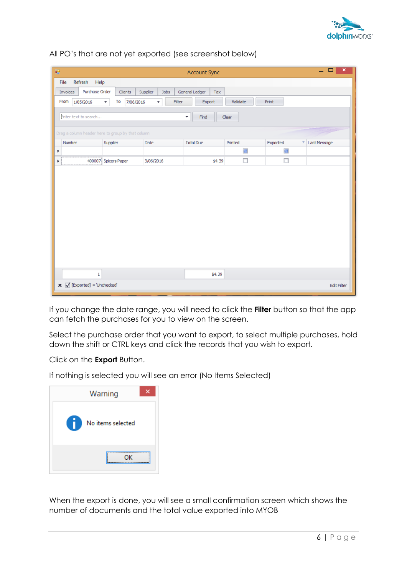

| 疆 |          |                                                       |                          |    |         |           |           |      |        |                          | <b>Account Sync</b> |        |          |        |          |        |   | ÷.           | $\pmb{\times}$<br>□ |
|---|----------|-------------------------------------------------------|--------------------------|----|---------|-----------|-----------|------|--------|--------------------------|---------------------|--------|----------|--------|----------|--------|---|--------------|---------------------|
|   | File     | Refresh<br>Help                                       |                          |    |         |           |           |      |        |                          |                     |        |          |        |          |        |   |              |                     |
|   | Invoices | Purchase Order                                        |                          |    | Clients | Supplier  |           | Jobs |        | General Ledger           |                     | Tax    |          |        |          |        |   |              |                     |
|   | From     | 1/05/2016                                             | $\overline{\phantom{a}}$ | To |         | 7/06/2016 | <b>T</b>  |      | Filter |                          | Export              |        | Validate |        | Print    |        |   |              |                     |
|   |          | Enter text to search                                  |                          |    |         |           |           |      |        | $\overline{\phantom{a}}$ | Find                |        | Clear    |        |          |        |   |              |                     |
|   |          | Drag a column header here to group by that column     |                          |    |         |           |           |      |        |                          |                     |        |          |        |          |        |   |              |                     |
|   | Number   |                                                       | Supplier                 |    |         |           | Date      |      |        | <b>Total Due</b>         |                     |        | Printed  |        | Exported |        | φ | Last Message |                     |
| Ÿ |          |                                                       |                          |    |         |           |           |      |        |                          |                     |        |          | $\Box$ |          | $\Box$ |   |              |                     |
| r |          | 400007 Spicers Paper                                  |                          |    |         |           | 3/06/2016 |      |        |                          |                     | \$4.39 |          | □      |          | □      |   |              |                     |
|   |          |                                                       |                          |    |         |           |           |      |        |                          |                     |        |          |        |          |        |   |              |                     |
|   |          | $\mathbf 1$                                           |                          |    |         |           |           |      |        |                          |                     | \$4.39 |          |        |          |        |   |              |                     |
|   |          | $\mathbf x \times \mathbf A$ [Exported] = 'Unchecked' |                          |    |         |           |           |      |        |                          |                     |        |          |        |          |        |   |              | <b>Edit Filter</b>  |

All PO's that are not yet exported (see screenshot below)

If you change the date range, you will need to click the **Filter** button so that the app can fetch the purchases for you to view on the screen.

Select the purchase order that you want to export, to select multiple purchases, hold down the shift or CTRL keys and click the records that you wish to export.

Click on the **Export** Button.

If nothing is selected you will see an error (No Items Selected)

| Warning                        |
|--------------------------------|
| <b>ty</b><br>No items selected |
|                                |

When the export is done, you will see a small confirmation screen which shows the number of documents and the total value exported into MYOB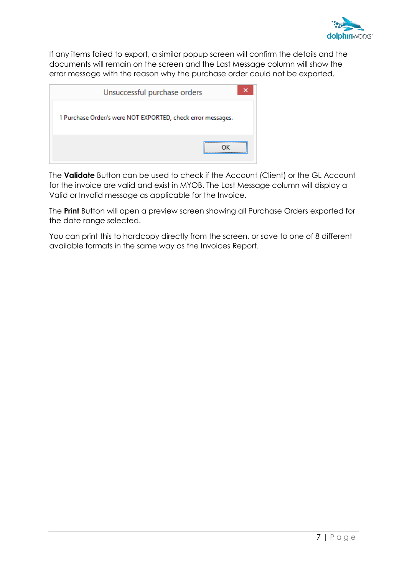

If any items failed to export, a similar popup screen will confirm the details and the documents will remain on the screen and the Last Message column will show the error message with the reason why the purchase order could not be exported.

| ×<br>Unsuccessful purchase orders                           |  |  |  |  |  |
|-------------------------------------------------------------|--|--|--|--|--|
| 1 Purchase Order/s were NOT EXPORTED, check error messages. |  |  |  |  |  |
|                                                             |  |  |  |  |  |

The **Validate** Button can be used to check if the Account (Client) or the GL Account for the invoice are valid and exist in MYOB. The Last Message column will display a Valid or Invalid message as applicable for the Invoice.

The **Print** Button will open a preview screen showing all Purchase Orders exported for the date range selected.

You can print this to hardcopy directly from the screen, or save to one of 8 different available formats in the same way as the Invoices Report.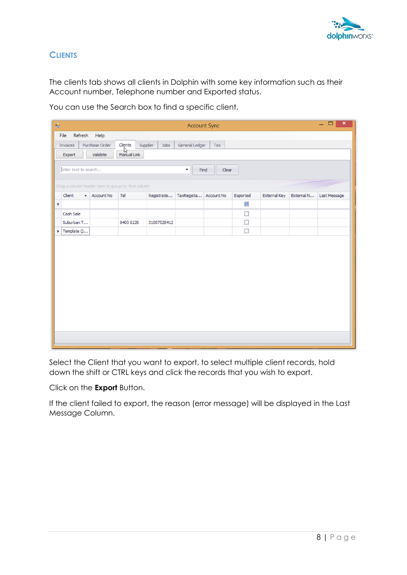

## <span id="page-10-0"></span>**CLIENTS**

The clients tab shows all clients in Dolphin with some key information such as their Account number, Telephone number and Exported status.

| You can use the Search box to find a specific client. |
|-------------------------------------------------------|
|-------------------------------------------------------|

|                                                                   | $ \Box$<br>$\boldsymbol{\times}$<br>疆<br><b>Account Sync</b> |                                                   |                                  |          |             |                       |     |          |              |            |              |
|-------------------------------------------------------------------|--------------------------------------------------------------|---------------------------------------------------|----------------------------------|----------|-------------|-----------------------|-----|----------|--------------|------------|--------------|
|                                                                   | File                                                         | Refresh Help                                      |                                  |          |             |                       |     |          |              |            |              |
|                                                                   | Invoices                                                     | Purchase Order                                    | Clients                          | Supplier | Jobs        | General Ledger        | Tax |          |              |            |              |
|                                                                   | Export                                                       | Validate                                          | $\sqrt{\frac{1}{2}}$ Manual Link |          |             |                       |     |          |              |            |              |
| Enter text to search<br>$\overline{\phantom{a}}$<br>Find<br>Clear |                                                              |                                                   |                                  |          |             |                       |     |          |              |            |              |
|                                                                   |                                                              | Drag a column header here to group by that column |                                  |          |             |                       |     |          |              |            |              |
|                                                                   | Client                                                       | $\overline{A}$ Account No                         | Tel                              |          | Registratio | TaxRegsita Account No |     | Exported | External Key | External N | Last Message |
| Ÿ                                                                 |                                                              |                                                   |                                  |          |             |                       |     | $\Box$   |              |            |              |
|                                                                   | Cash Sale                                                    |                                                   |                                  |          |             |                       |     | ◻        |              |            |              |
|                                                                   | Suburban T                                                   |                                                   | 8400 6226                        |          | 31007528412 |                       |     | $\Box$   |              |            |              |
|                                                                   | $\triangleright$ Template Q                                  |                                                   |                                  |          |             |                       |     | $\Box$   |              |            |              |
|                                                                   |                                                              |                                                   |                                  |          |             |                       |     |          |              |            |              |

Select the Client that you want to export, to select multiple client records, hold down the shift or CTRL keys and click the records that you wish to export.

Click on the **Export** Button.

If the client failed to export, the reason (error message) will be displayed in the Last Message Column.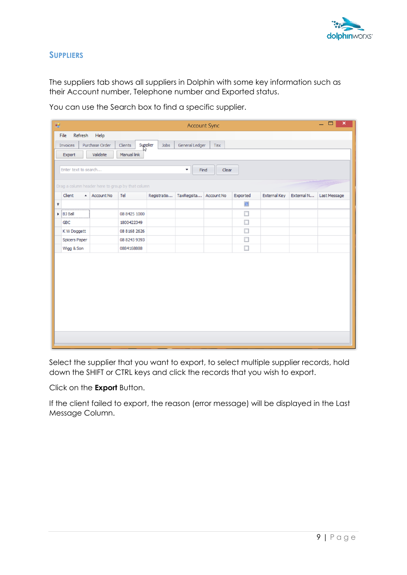

#### <span id="page-11-0"></span>**SUPPLIERS**

The suppliers tab shows all suppliers in Dolphin with some key information such as their Account number, Telephone number and Exported status.

| $\mathbf{x}$ .<br>$\Box$<br>Ξ.<br>阌<br><b>Account Sync</b>       |                                                                                           |            |                                                   |             |            |            |           |                     |            |              |
|------------------------------------------------------------------|-------------------------------------------------------------------------------------------|------------|---------------------------------------------------|-------------|------------|------------|-----------|---------------------|------------|--------------|
| Refresh<br>Help<br>File                                          |                                                                                           |            |                                                   |             |            |            |           |                     |            |              |
|                                                                  | <b>Supplier</b><br>Purchase Order<br>General Ledger<br>Clients<br>Jobs<br>Invoices<br>Tax |            |                                                   |             |            |            |           |                     |            |              |
|                                                                  | Validate<br>Export<br>Manual link                                                         |            |                                                   |             |            |            |           |                     |            |              |
| Enter text to search<br>$\overline{\mathbf{v}}$<br>Find<br>Clear |                                                                                           |            |                                                   |             |            |            |           |                     |            |              |
|                                                                  |                                                                                           |            | Drag a column header here to group by that column |             |            |            |           |                     |            |              |
|                                                                  | Client<br>$\blacktriangle$                                                                | Account No | Tel                                               | Registratio | TaxRegsita | Account No | Exported  | <b>External Key</b> | External N | Last Message |
| Ÿ                                                                |                                                                                           |            |                                                   |             |            |            | $\Box$    |                     |            |              |
|                                                                  | $\triangleright$ BJ Ball                                                                  |            | 08 8425 1000                                      |             |            |            | $\Box$    |                     |            |              |
|                                                                  | <b>GBC</b>                                                                                |            | 1800422349                                        |             |            |            | □         |                     |            |              |
|                                                                  | K W Doggett                                                                               |            | 08 8168 2626                                      |             |            |            | □         |                     |            |              |
|                                                                  | <b>Spicers Paper</b>                                                                      |            | 08 8243 9393                                      |             |            |            | □         |                     |            |              |
|                                                                  | Wigg & Son                                                                                |            | 0884168888                                        |             |            |            | $\square$ |                     |            |              |
|                                                                  |                                                                                           |            |                                                   |             |            |            |           |                     |            |              |

You can use the Search box to find a specific supplier.

Select the supplier that you want to export, to select multiple supplier records, hold down the SHIFT or CTRL keys and click the records that you wish to export.

Click on the **Export** Button.

If the client failed to export, the reason (error message) will be displayed in the Last Message Column.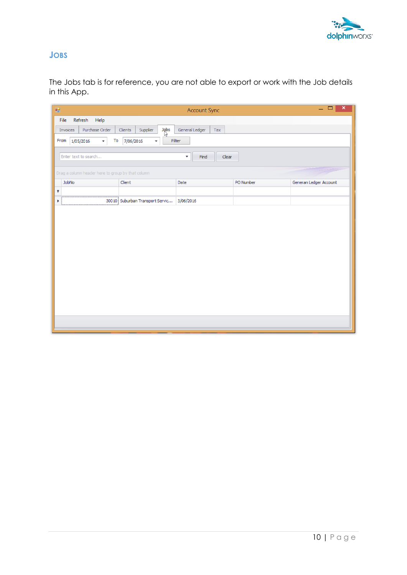

## <span id="page-12-0"></span>**JOBS**

The Jobs tab is for reference, you are not able to export or work with the Job details in this App.

| 疆                                                 | $=$ $\Box$<br>$\pmb{\times}$<br><b>Account Sync</b> |                                           |           |                        |  |  |
|---------------------------------------------------|-----------------------------------------------------|-------------------------------------------|-----------|------------------------|--|--|
| Refresh Help<br>File                              |                                                     |                                           |           |                        |  |  |
| Purchase Order<br>Invoices                        | $\mathbb{Z}^2$<br>Supplier<br>Clients               | General Ledger<br>Tax                     |           |                        |  |  |
| From<br>To<br>1/05/2016<br>$\pmb{\mathrm{v}}$     | 7/06/2016<br>۰                                      | Filter                                    |           |                        |  |  |
|                                                   |                                                     |                                           |           |                        |  |  |
| Enter text to search                              |                                                     | $\overline{\phantom{a}}$<br>Find<br>Clear |           |                        |  |  |
| Drag a column header here to group by that column |                                                     |                                           |           |                        |  |  |
| JobNo                                             | Client                                              | Date                                      | PO Number | Generan Ledger Account |  |  |
| $\pmb{\varphi}$                                   |                                                     |                                           |           |                        |  |  |
| ٠                                                 | 30010 Suburban Transport Servic 3/06/2016           |                                           |           |                        |  |  |
|                                                   |                                                     |                                           |           |                        |  |  |
|                                                   |                                                     |                                           |           |                        |  |  |
|                                                   |                                                     |                                           |           |                        |  |  |
|                                                   |                                                     |                                           |           |                        |  |  |
|                                                   |                                                     |                                           |           |                        |  |  |
|                                                   |                                                     |                                           |           |                        |  |  |
|                                                   |                                                     |                                           |           |                        |  |  |
|                                                   |                                                     |                                           |           |                        |  |  |
|                                                   |                                                     |                                           |           |                        |  |  |
|                                                   |                                                     |                                           |           |                        |  |  |
|                                                   |                                                     |                                           |           |                        |  |  |
|                                                   |                                                     |                                           |           |                        |  |  |
|                                                   |                                                     |                                           |           |                        |  |  |
|                                                   |                                                     |                                           |           |                        |  |  |
|                                                   |                                                     |                                           |           |                        |  |  |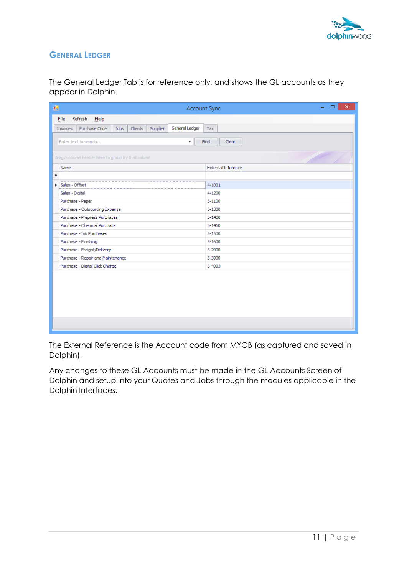

## <span id="page-13-0"></span>**GENERAL LEDGER**

The General Ledger Tab is for reference only, and shows the GL accounts as they appear in Dolphin.

| 疅<br><b>Account Sync</b>                                                    | $\pmb{\times}$<br>$\Box$ |  |  |  |  |  |  |
|-----------------------------------------------------------------------------|--------------------------|--|--|--|--|--|--|
| Refresh Help<br><b>Eile</b>                                                 |                          |  |  |  |  |  |  |
| Purchase Order<br>General Ledger<br>Jobs<br>Clients<br>Supplier<br>Invoices | Tax                      |  |  |  |  |  |  |
| Enter text to search<br>Clear<br>Find<br>▼                                  |                          |  |  |  |  |  |  |
| Drag a column header here to group by that column                           |                          |  |  |  |  |  |  |
| Name                                                                        | ExternalReference        |  |  |  |  |  |  |
| 9                                                                           |                          |  |  |  |  |  |  |
| Sales - Offset                                                              | $4 - 1001$               |  |  |  |  |  |  |
| Sales - Digital                                                             | 4-1200                   |  |  |  |  |  |  |
| Purchase - Paper                                                            | $5 - 1100$               |  |  |  |  |  |  |
| Purchase - Outsourcing Expense                                              | $5 - 1300$               |  |  |  |  |  |  |
| Purchase - Prepress Purchases                                               | $5 - 1400$               |  |  |  |  |  |  |
| Purchase - Chemical Purchase                                                | $5 - 1450$               |  |  |  |  |  |  |
| Purchase - Ink Purchases                                                    | $5 - 1500$               |  |  |  |  |  |  |
| Purchase - Finishing                                                        | $5 - 1600$               |  |  |  |  |  |  |
| Purchase - Freight/Delivery                                                 | 5-2000                   |  |  |  |  |  |  |
| Purchase - Repair and Maintenance                                           | 5-3000                   |  |  |  |  |  |  |
| Purchase - Digital Click Charge                                             | 5-4003                   |  |  |  |  |  |  |
|                                                                             |                          |  |  |  |  |  |  |
|                                                                             |                          |  |  |  |  |  |  |
|                                                                             |                          |  |  |  |  |  |  |
|                                                                             |                          |  |  |  |  |  |  |
|                                                                             |                          |  |  |  |  |  |  |
|                                                                             |                          |  |  |  |  |  |  |
|                                                                             |                          |  |  |  |  |  |  |
|                                                                             |                          |  |  |  |  |  |  |

The External Reference is the Account code from MYOB (as captured and saved in Dolphin).

Any changes to these GL Accounts must be made in the GL Accounts Screen of Dolphin and setup into your Quotes and Jobs through the modules applicable in the Dolphin Interfaces.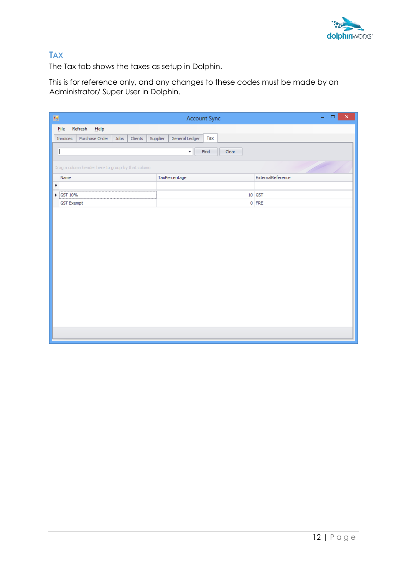

## <span id="page-14-0"></span>**TAX**

The Tax tab shows the taxes as setup in Dolphin.

This is for reference only, and any changes to these codes must be made by an Administrator/ Super User in Dolphin.

| 轀                                                 | Account Sync                      | Ξ.<br>$\Box$<br>$\mathsf{x}^-$ |  |  |  |  |  |  |
|---------------------------------------------------|-----------------------------------|--------------------------------|--|--|--|--|--|--|
| Eile<br>$Refresh$ $Help$                          |                                   |                                |  |  |  |  |  |  |
| Purchase Order<br>Clients<br>Jobs<br>Invoices     | General Ledger<br>Tax<br>Supplier |                                |  |  |  |  |  |  |
| Ī                                                 | $\star$<br>Clear<br>Find          |                                |  |  |  |  |  |  |
|                                                   |                                   |                                |  |  |  |  |  |  |
| Drag a column header here to group by that column |                                   |                                |  |  |  |  |  |  |
| Name                                              | TaxPercentage                     | ExternalReference              |  |  |  |  |  |  |
| 9<br>.                                            |                                   |                                |  |  |  |  |  |  |
| ▶ GST 10%<br><b>GST Exempt</b>                    |                                   | 10 GST<br>$0$ FRE              |  |  |  |  |  |  |
|                                                   |                                   |                                |  |  |  |  |  |  |
|                                                   |                                   |                                |  |  |  |  |  |  |
|                                                   |                                   |                                |  |  |  |  |  |  |
|                                                   |                                   |                                |  |  |  |  |  |  |
|                                                   |                                   |                                |  |  |  |  |  |  |
|                                                   |                                   |                                |  |  |  |  |  |  |
|                                                   |                                   |                                |  |  |  |  |  |  |
|                                                   |                                   |                                |  |  |  |  |  |  |
|                                                   |                                   |                                |  |  |  |  |  |  |
|                                                   |                                   |                                |  |  |  |  |  |  |
|                                                   |                                   |                                |  |  |  |  |  |  |
|                                                   |                                   |                                |  |  |  |  |  |  |
|                                                   |                                   |                                |  |  |  |  |  |  |
|                                                   |                                   |                                |  |  |  |  |  |  |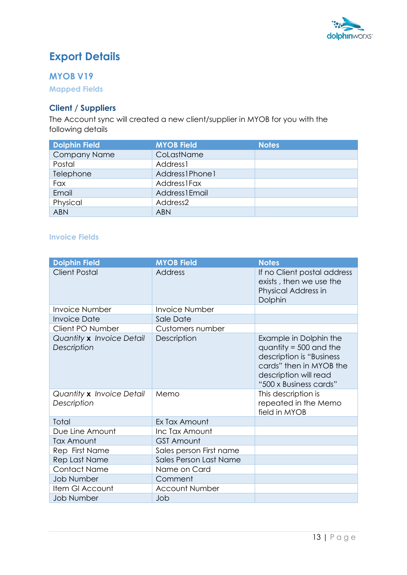

# <span id="page-15-0"></span>**Export Details**

## <span id="page-15-1"></span>**MYOB V19**

<span id="page-15-2"></span>**Mapped Fields** 

## **Client / Suppliers**

The Account sync will created a new client/supplier in MYOB for you with the following details

| <b>Dolphin Field</b> | <b>MYOB Field</b>    | <b>Notes</b> |
|----------------------|----------------------|--------------|
| <b>Company Name</b>  | CoLastName           |              |
| Postal               | Address1             |              |
| Telephone            | Address1Phone1       |              |
| Fax                  | <b>Address1Fax</b>   |              |
| Email                | Address1Email        |              |
| Physical             | Address <sub>2</sub> |              |
| <b>ABN</b>           | <b>ABN</b>           |              |

#### <span id="page-15-3"></span>**Invoice Fields**

| <b>Dolphin Field</b>                     | <b>MYOB Field</b>       | <b>Notes</b>                                                                                                                                                 |
|------------------------------------------|-------------------------|--------------------------------------------------------------------------------------------------------------------------------------------------------------|
| <b>Client Postal</b>                     | <b>Address</b>          | If no Client postal address<br>exists, then we use the<br>Physical Address in<br>Dolphin                                                                     |
| <b>Invoice Number</b>                    | <b>Invoice Number</b>   |                                                                                                                                                              |
| <b>Invoice Date</b>                      | Sale Date               |                                                                                                                                                              |
| Client PO Number                         | Customers number        |                                                                                                                                                              |
| Quantity x Invoice Detail<br>Description | Description             | Example in Dolphin the<br>quantity = $500$ and the<br>description is "Business<br>cards" then in MYOB the<br>description will read<br>"500 x Business cards" |
| Quantity x Invoice Detail<br>Description | Memo                    | This description is<br>repeated in the Memo<br>field in MYOB                                                                                                 |
| Total                                    | Ex Tax Amount           |                                                                                                                                                              |
| Due Line Amount                          | Inc Tax Amount          |                                                                                                                                                              |
| Tax Amount                               | <b>GST Amount</b>       |                                                                                                                                                              |
| Rep First Name                           | Sales person First name |                                                                                                                                                              |
| Rep Last Name                            | Sales Person Last Name  |                                                                                                                                                              |
| <b>Contact Name</b>                      | Name on Card            |                                                                                                                                                              |
| <b>Job Number</b>                        | Comment                 |                                                                                                                                                              |
| Item GI Account                          | <b>Account Number</b>   |                                                                                                                                                              |
| <b>Job Number</b>                        | Job                     |                                                                                                                                                              |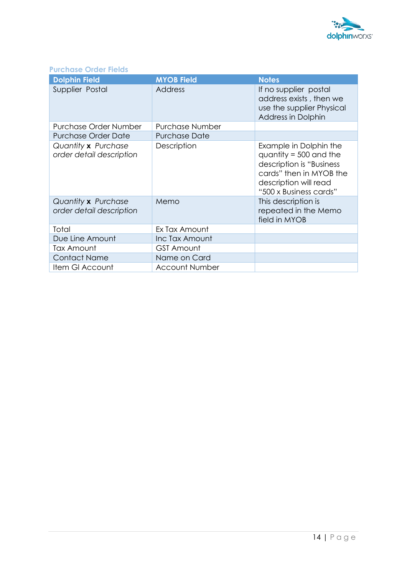

## <span id="page-16-0"></span>**Purchase Order Fields**

| <b>Dolphin Field</b>                                   | <b>MYOB Field</b>      | <b>Notes</b>                                                                                                                                                 |
|--------------------------------------------------------|------------------------|--------------------------------------------------------------------------------------------------------------------------------------------------------------|
| Supplier Postal                                        | Address                | If no supplier postal<br>address exists, then we<br>use the supplier Physical<br><b>Address in Dolphin</b>                                                   |
| Purchase Order Number                                  | <b>Purchase Number</b> |                                                                                                                                                              |
| <b>Purchase Order Date</b>                             | <b>Purchase Date</b>   |                                                                                                                                                              |
| Quantity <b>x</b> Purchase<br>order detail description | Description            | Example in Dolphin the<br>quantity = $500$ and the<br>description is "Business<br>cards" then in MYOB the<br>description will read<br>"500 x Business cards" |
| Quantity <b>x</b> Purchase<br>order detail description | Memo                   | This description is<br>repeated in the Memo<br>field in MYOB                                                                                                 |
| Total                                                  | Ex Tax Amount          |                                                                                                                                                              |
| Due Line Amount                                        | Inc Tax Amount         |                                                                                                                                                              |
| Tax Amount                                             | <b>GST Amount</b>      |                                                                                                                                                              |
| <b>Contact Name</b>                                    | Name on Card           |                                                                                                                                                              |
| Item GI Account                                        | <b>Account Number</b>  |                                                                                                                                                              |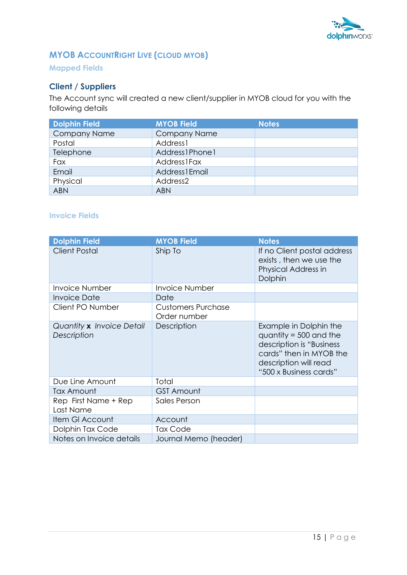

## <span id="page-17-0"></span>**MYOB ACCOUNTRIGHT LIVE (CLOUD MYOB)**

### <span id="page-17-1"></span>**Mapped Fields**

## **Client / Suppliers**

The Account sync will created a new client/supplier in MYOB cloud for you with the following details

| <b>Dolphin Field</b> | <b>MYOB Field</b>    | <b>Notes</b> |
|----------------------|----------------------|--------------|
| <b>Company Name</b>  | <b>Company Name</b>  |              |
| Postal               | Address1             |              |
| Telephone            | Address1Phone1       |              |
| Fax                  | <b>Address1Fax</b>   |              |
| Email                | Address1Email        |              |
| Physical             | Address <sub>2</sub> |              |
| <b>ABN</b>           | <b>ABN</b>           |              |

#### <span id="page-17-2"></span>**Invoice Fields**

| <b>Dolphin Field</b>                     | <b>MYOB Field</b>                         | <b>Notes</b>                                                                                                                                                 |
|------------------------------------------|-------------------------------------------|--------------------------------------------------------------------------------------------------------------------------------------------------------------|
| <b>Client Postal</b>                     | Ship To                                   | If no Client postal address<br>exists, then we use the<br>Physical Address in<br>Dolphin                                                                     |
| <b>Invoice Number</b>                    | <b>Invoice Number</b>                     |                                                                                                                                                              |
| <b>Invoice Date</b>                      | Date                                      |                                                                                                                                                              |
| Client PO Number                         | <b>Customers Purchase</b><br>Order number |                                                                                                                                                              |
| Quantity x Invoice Detail<br>Description | Description                               | Example in Dolphin the<br>quantity = $500$ and the<br>description is "Business<br>cards" then in MYOB the<br>description will read<br>"500 x Business cards" |
| Due Line Amount                          | Total                                     |                                                                                                                                                              |
| Tax Amount                               | <b>GST Amount</b>                         |                                                                                                                                                              |
| Rep First Name + Rep<br>Last Name        | Sales Person                              |                                                                                                                                                              |
| Item GI Account                          | Account                                   |                                                                                                                                                              |
| Dolphin Tax Code                         | <b>Tax Code</b>                           |                                                                                                                                                              |
| Notes on Invoice details                 | Journal Memo (header)                     |                                                                                                                                                              |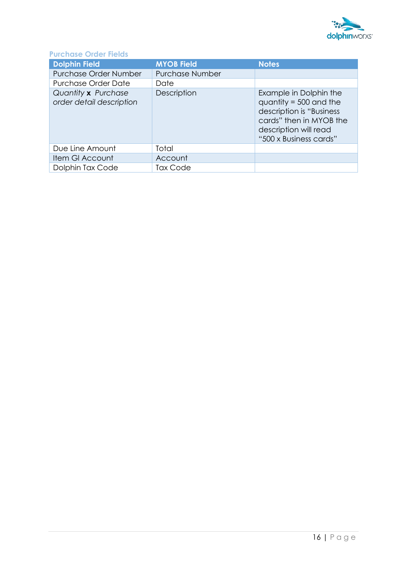

## <span id="page-18-0"></span>**Purchase Order Fields**

| <b>Dolphin Field</b>                            | <b>MYOB Field</b>      | <b>Notes</b>                                                                                                                                                 |
|-------------------------------------------------|------------------------|--------------------------------------------------------------------------------------------------------------------------------------------------------------|
| Purchase Order Number                           | <b>Purchase Number</b> |                                                                                                                                                              |
| <b>Purchase Order Date</b>                      | Date                   |                                                                                                                                                              |
| Quantity x Purchase<br>order detail description | Description            | Example in Dolphin the<br>quantity = $500$ and the<br>description is "Business<br>cards" then in MYOB the<br>description will read<br>"500 x Business cards" |
| Due Line Amount                                 | Total                  |                                                                                                                                                              |
| Item GI Account                                 | Account                |                                                                                                                                                              |
| Dolphin Tax Code                                | <b>Tax Code</b>        |                                                                                                                                                              |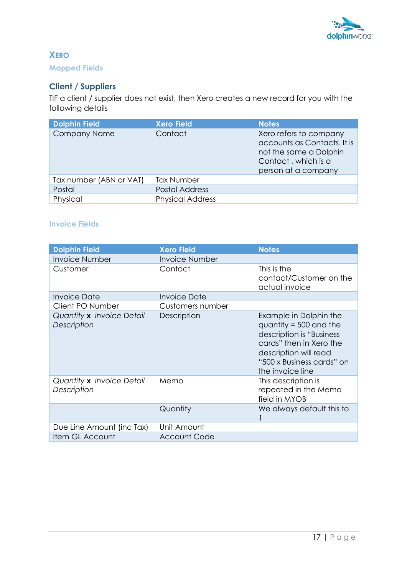

## <span id="page-19-1"></span><span id="page-19-0"></span>**XERO Mapped Fields**

### **Client / Suppliers**

TIF a client / supplier does not exist, then Xero creates a new record for you with the following details

| <b>Dolphin Field</b>    | <b>Xero Field</b>       | <b>Notes</b>                                                                                                                  |
|-------------------------|-------------------------|-------------------------------------------------------------------------------------------------------------------------------|
| <b>Company Name</b>     | Contact                 | Xero refers to company<br>accounts as Contacts. It is<br>not the same a Dolphin<br>Contact, which is a<br>person at a company |
| Tax number (ABN or VAT) | <b>Tax Number</b>       |                                                                                                                               |
| Postal                  | <b>Postal Address</b>   |                                                                                                                               |
| Physical                | <b>Physical Address</b> |                                                                                                                               |

#### <span id="page-19-2"></span>**Invoice Fields**

| <b>Dolphin Field</b>                            | <b>Xero Field</b>     | <b>Notes</b>                                                                                                                                                                        |
|-------------------------------------------------|-----------------------|-------------------------------------------------------------------------------------------------------------------------------------------------------------------------------------|
| <b>Invoice Number</b>                           | <b>Invoice Number</b> |                                                                                                                                                                                     |
| Customer                                        | Contact               | This is the<br>contact/Customer on the<br>actual invoice                                                                                                                            |
| <b>Invoice Date</b>                             | Invoice Date          |                                                                                                                                                                                     |
| Client PO Number                                | Customers number      |                                                                                                                                                                                     |
| Quantity x Invoice Detail<br>Description        | Description           | Example in Dolphin the<br>quantity = $500$ and the<br>description is "Business<br>cards" then in Xero the<br>description will read<br>"500 x Business cards" on<br>the invoice line |
| Quantity <b>x</b> Invoice Detail<br>Description | Memo                  | This description is<br>repeated in the Memo<br>field in MYOB                                                                                                                        |
|                                                 | Quantity              | We always default this to                                                                                                                                                           |
| Due Line Amount (inc Tax)                       | Unit Amount           |                                                                                                                                                                                     |
| Item GL Account                                 | <b>Account Code</b>   |                                                                                                                                                                                     |